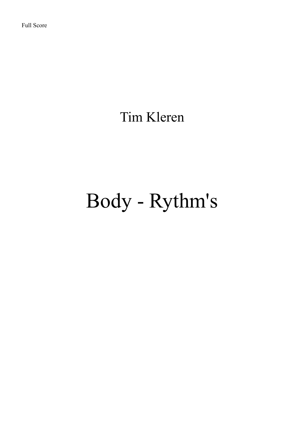Tim Kleren

## Body - Rythm's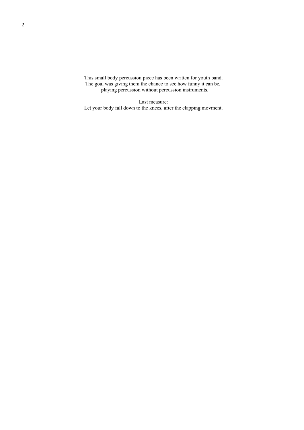This small body percussion piece has been written for youth band. The goal was giving them the chance to see how funny it can be, playing percussion without percussion instruments.

Last measure: Let your body fall down to the knees, after the clapping movment.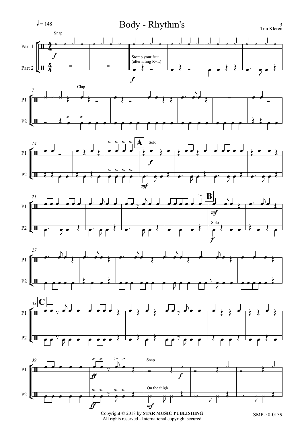

 $\label{eq:Cor2} \begin{minipage}{.4\linewidth} \textbf{Copyright} @ 2018 by \textbf{STAR} \textbf{MUSIC PUBLISHING} \\ \textbf{All rights reserved - International copyright secured} \end{minipage}$